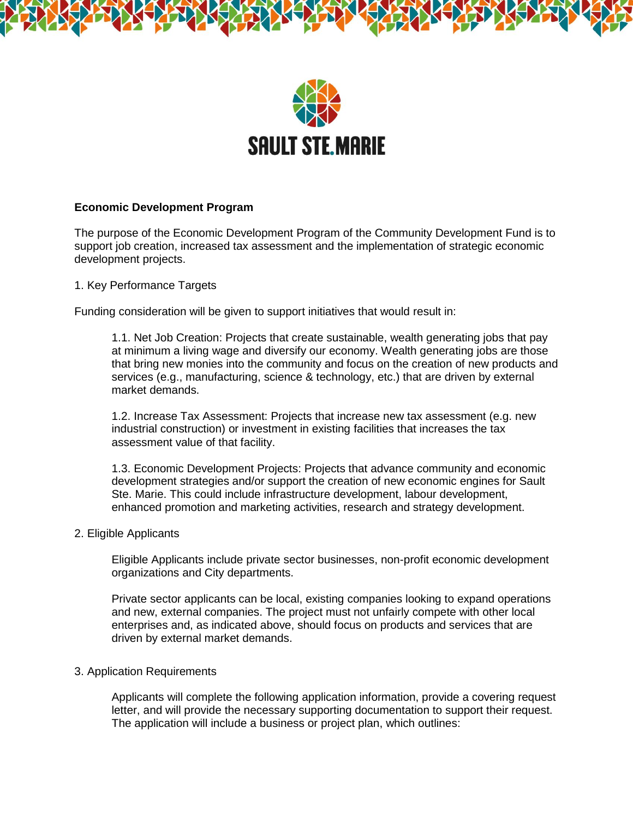



# **Economic Development Program**

The purpose of the Economic Development Program of the Community Development Fund is to support job creation, increased tax assessment and the implementation of strategic economic development projects.

1. Key Performance Targets

Funding consideration will be given to support initiatives that would result in:

1.1. Net Job Creation: Projects that create sustainable, wealth generating jobs that pay at minimum a living wage and diversify our economy. Wealth generating jobs are those that bring new monies into the community and focus on the creation of new products and services (e.g., manufacturing, science & technology, etc.) that are driven by external market demands.

1.2. Increase Tax Assessment: Projects that increase new tax assessment (e.g. new industrial construction) or investment in existing facilities that increases the tax assessment value of that facility.

1.3. Economic Development Projects: Projects that advance community and economic development strategies and/or support the creation of new economic engines for Sault Ste. Marie. This could include infrastructure development, labour development, enhanced promotion and marketing activities, research and strategy development.

# 2. Eligible Applicants

Eligible Applicants include private sector businesses, non-profit economic development organizations and City departments.

Private sector applicants can be local, existing companies looking to expand operations and new, external companies. The project must not unfairly compete with other local enterprises and, as indicated above, should focus on products and services that are driven by external market demands.

# 3. Application Requirements

Applicants will complete the following application information, provide a covering request letter, and will provide the necessary supporting documentation to support their request. The application will include a business or project plan, which outlines: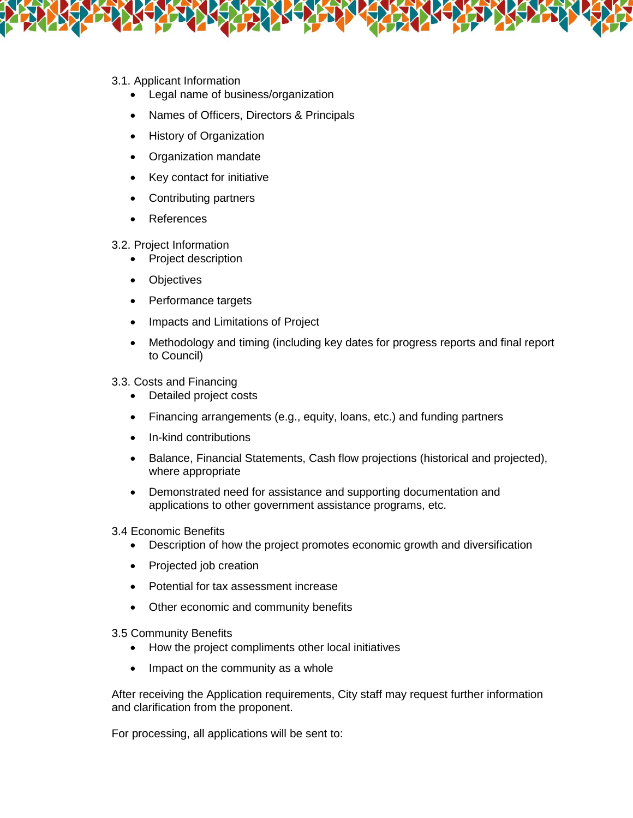- 3.1. Applicant Information
	- Legal name of business/organization
	- Names of Officers, Directors & Principals
	- History of Organization
	- Organization mandate
	- Key contact for initiative
	- Contributing partners
	- References
	- 3.2. Project Information
		- Project description
		- Objectives
		- Performance targets
		- Impacts and Limitations of Project
		- Methodology and timing (including key dates for progress reports and final report to Council)
	- 3.3. Costs and Financing
		- Detailed project costs
		- Financing arrangements (e.g., equity, loans, etc.) and funding partners
		- In-kind contributions
		- Balance, Financial Statements, Cash flow projections (historical and projected), where appropriate
		- Demonstrated need for assistance and supporting documentation and applications to other government assistance programs, etc.
	- 3.4 Economic Benefits
		- Description of how the project promotes economic growth and diversification
		- Projected job creation
		- Potential for tax assessment increase
		- Other economic and community benefits
	- 3.5 Community Benefits
		- How the project compliments other local initiatives
		- Impact on the community as a whole

After receiving the Application requirements, City staff may request further information and clarification from the proponent.

For processing, all applications will be sent to: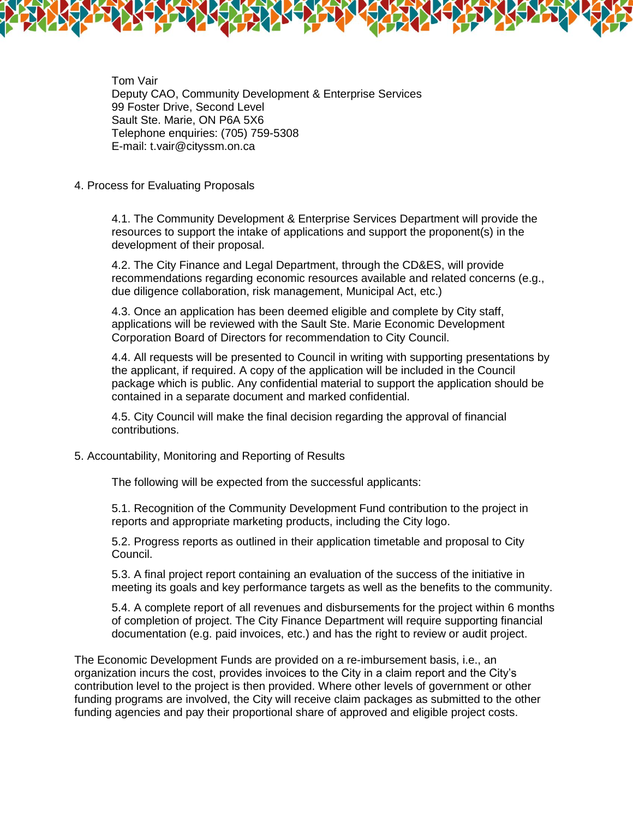

Tom Vair Deputy CAO, Community Development & Enterprise Services 99 Foster Drive, Second Level Sault Ste. Marie, ON P6A 5X6 Telephone enquiries: (705) 759-5308 E-mail: t.vair@cityssm.on.ca

# 4. Process for Evaluating Proposals

4.1. The Community Development & Enterprise Services Department will provide the resources to support the intake of applications and support the proponent(s) in the development of their proposal.

4.2. The City Finance and Legal Department, through the CD&ES, will provide recommendations regarding economic resources available and related concerns (e.g., due diligence collaboration, risk management, Municipal Act, etc.)

4.3. Once an application has been deemed eligible and complete by City staff, applications will be reviewed with the Sault Ste. Marie Economic Development Corporation Board of Directors for recommendation to City Council.

4.4. All requests will be presented to Council in writing with supporting presentations by the applicant, if required. A copy of the application will be included in the Council package which is public. Any confidential material to support the application should be contained in a separate document and marked confidential.

4.5. City Council will make the final decision regarding the approval of financial contributions.

# 5. Accountability, Monitoring and Reporting of Results

The following will be expected from the successful applicants:

5.1. Recognition of the Community Development Fund contribution to the project in reports and appropriate marketing products, including the City logo.

5.2. Progress reports as outlined in their application timetable and proposal to City Council.

5.3. A final project report containing an evaluation of the success of the initiative in meeting its goals and key performance targets as well as the benefits to the community.

5.4. A complete report of all revenues and disbursements for the project within 6 months of completion of project. The City Finance Department will require supporting financial documentation (e.g. paid invoices, etc.) and has the right to review or audit project.

The Economic Development Funds are provided on a re-imbursement basis, i.e., an organization incurs the cost, provides invoices to the City in a claim report and the City's contribution level to the project is then provided. Where other levels of government or other funding programs are involved, the City will receive claim packages as submitted to the other funding agencies and pay their proportional share of approved and eligible project costs.